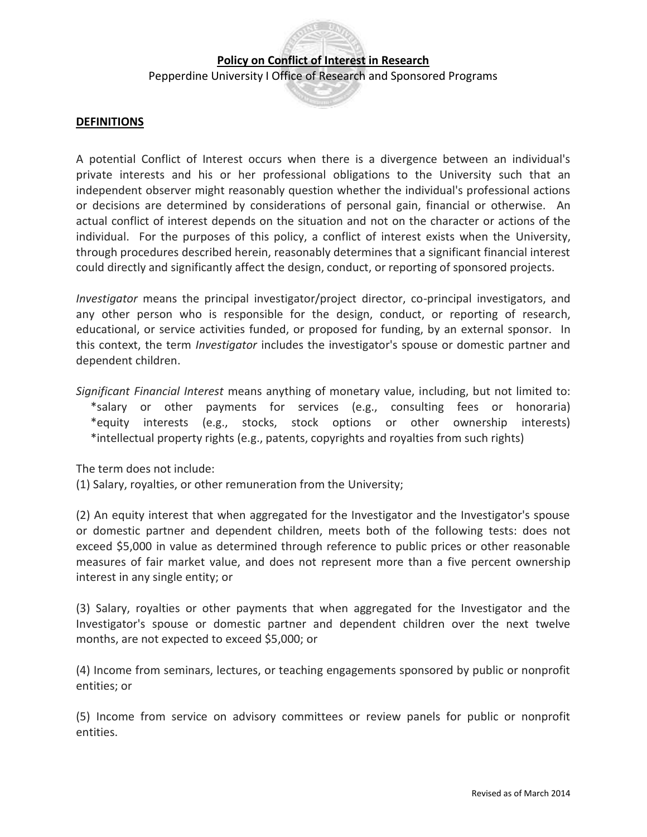Pepperdine University I Office of Research and Sponsored Programs

### **DEFINITIONS**

 A potential Conflict of Interest occurs when there is a divergence between an individual's private interests and his or her professional obligations to the University such that an independent observer might reasonably question whether the individual's professional actions or decisions are determined by considerations of personal gain, financial or otherwise. An actual conflict of interest depends on the situation and not on the character or actions of the individual. For the purposes of this policy, a conflict of interest exists when the University, through procedures described herein, reasonably determines that a significant financial interest could directly and significantly affect the design, conduct, or reporting of sponsored projects.

 *Investigator* means the principal investigator/project director, co-principal investigators, and any other person who is responsible for the design, conduct, or reporting of research, educational, or service activities funded, or proposed for funding, by an external sponsor. In this context, the term *Investigator* includes the investigator's spouse or domestic partner and dependent children.

 *Significant Financial Interest* means anything of monetary value, including, but not limited to: \*salary or other payments for services (e.g., consulting fees or honoraria) \*equity interests (e.g., stocks, stock options or other ownership interests) \*intellectual property rights (e.g., patents, copyrights and royalties from such rights)

The term does not include:

(1) Salary, royalties, or other remuneration from the University;

 (2) An equity interest that when aggregated for the Investigator and the Investigator's spouse or domestic partner and dependent children, meets both of the following tests: does not exceed \$5,000 in value as determined through reference to public prices or other reasonable measures of fair market value, and does not represent more than a five percent ownership interest in any single entity; or

 (3) Salary, royalties or other payments that when aggregated for the Investigator and the Investigator's spouse or domestic partner and dependent children over the next twelve months, are not expected to exceed \$5,000; or

 (4) Income from seminars, lectures, or teaching engagements sponsored by public or nonprofit entities; or

 (5) Income from service on advisory committees or review panels for public or nonprofit entities.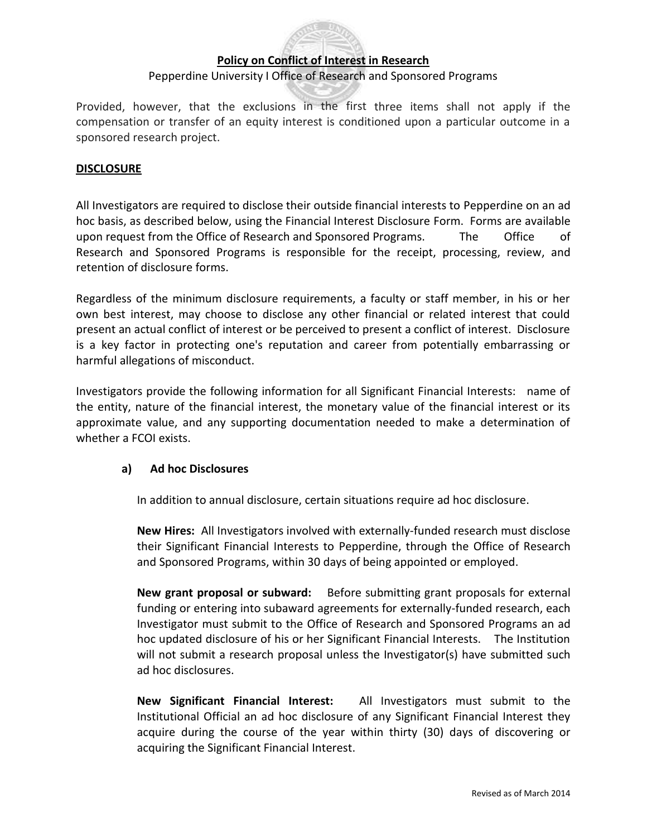### Pepperdine University I Office of Research and Sponsored Programs

Provided, however, that the exclusions in the first three items shall not apply if the compensation or transfer of an equity interest is conditioned upon a particular outcome in a sponsored research project.

### **DISCLOSURE**

 All Investigators are required to disclose their outside financial interests to Pepperdine on an ad hoc basis, as described below, using the Financial Interest Disclosure Form. Forms are available upon request from the Office of Research and Sponsored Programs. The Office of Research and Sponsored Programs is responsible for the receipt, processing, review, and retention of disclosure forms.

 Regardless of the minimum disclosure requirements, a faculty or staff member, in his or her own best interest, may choose to disclose any other financial or related interest that could present an actual conflict of interest or be perceived to present a conflict of interest. Disclosure is a key factor in protecting one's reputation and career from potentially embarrassing or harmful allegations of misconduct.

 Investigators provide the following information for all Significant Financial Interests: name of the entity, nature of the financial interest, the monetary value of the financial interest or its approximate value, and any supporting documentation needed to make a determination of whether a FCOI exists.

### **a) Ad hoc Disclosures**

In addition to annual disclosure, certain situations require ad hoc disclosure.

 **New Hires:** All Investigators involved with externally-funded research must disclose their Significant Financial Interests to Pepperdine, through the Office of Research and Sponsored Programs, within 30 days of being appointed or employed.

 **New grant proposal or subward:** Before submitting grant proposals for external funding or entering into subaward agreements for externally-funded research, each Investigator must submit to the Office of Research and Sponsored Programs an ad hoc updated disclosure of his or her Significant Financial Interests. The Institution will not submit a research proposal unless the Investigator(s) have submitted such ad hoc disclosures.

**New Significant Financial Interest:**  Institutional Official an ad hoc disclosure of any Significant Financial Interest they acquire during the course of the year within thirty (30) days of discovering or All Investigators must submit to the acquiring the Significant Financial Interest.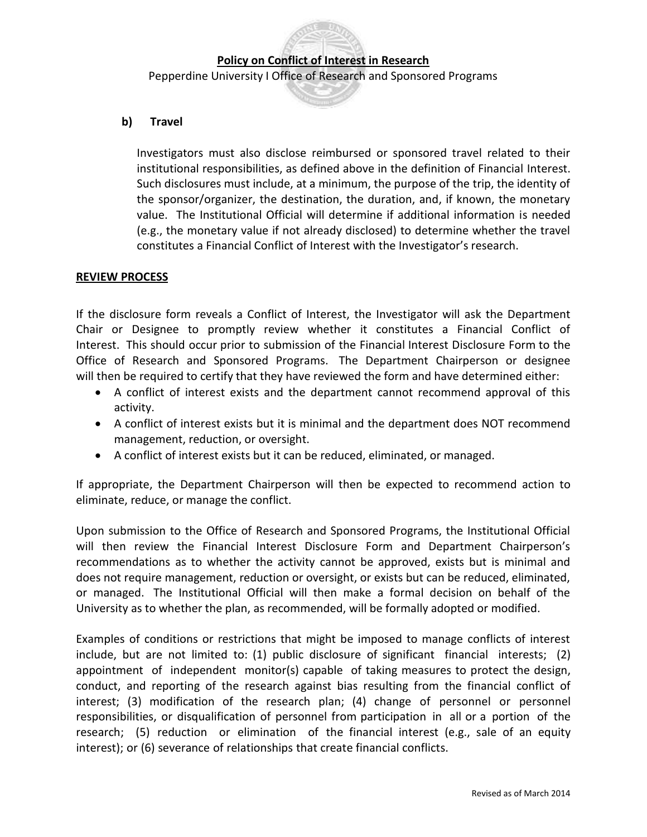Pepperdine University I Office of Research and Sponsored Programs

### **b) Travel**

 Investigators must also disclose reimbursed or sponsored travel related to their institutional responsibilities, as defined above in the definition of Financial Interest. Such disclosures must include, at a minimum, the purpose of the trip, the identity of value. The Institutional Official will determine if additional information is needed (e.g., the monetary value if not already disclosed) to determine whether the travel constitutes a Financial Conflict of Interest with the Investigator's research. the sponsor/organizer, the destination, the duration, and, if known, the monetary

### **REVIEW PROCESS**

 If the disclosure form reveals a Conflict of Interest, the Investigator will ask the Department Chair or Designee to promptly review whether it constitutes a Financial Conflict of Interest. This should occur prior to submission of the Financial Interest Disclosure Form to the Office of Research and Sponsored Programs. The Department Chairperson or designee will then be required to certify that they have reviewed the form and have determined either:

- A conflict of interest exists and the department cannot recommend approval of this activity.
- A conflict of interest exists but it is minimal and the department does NOT recommend management, reduction, or oversight.
- A conflict of interest exists but it can be reduced, eliminated, or managed.

 If appropriate, the Department Chairperson will then be expected to recommend action to eliminate, reduce, or manage the conflict.

 Upon submission to the Office of Research and Sponsored Programs, the Institutional Official will then review the Financial Interest Disclosure Form and Department Chairperson's recommendations as to whether the activity cannot be approved, exists but is minimal and does not require management, reduction or oversight, or exists but can be reduced, eliminated, or managed. The Institutional Official will then make a formal decision on behalf of the University as to whether the plan, as recommended, will be formally adopted or modified.

 Examples of conditions or restrictions that might be imposed to manage conflicts of interest include, but are not limited to: (1) public disclosure of significant financial interests; (2) appointment of independent monitor(s) capable of taking measures to protect the design, conduct, and reporting of the research against bias resulting from the financial conflict of interest; (3) modification of the research plan; (4) change of personnel or personnel responsibilities, or disqualification of personnel from participation in all or a portion of the research; (5) reduction or elimination of the financial interest (e.g., sale of an equity interest); or (6) severance of relationships that create financial conflicts.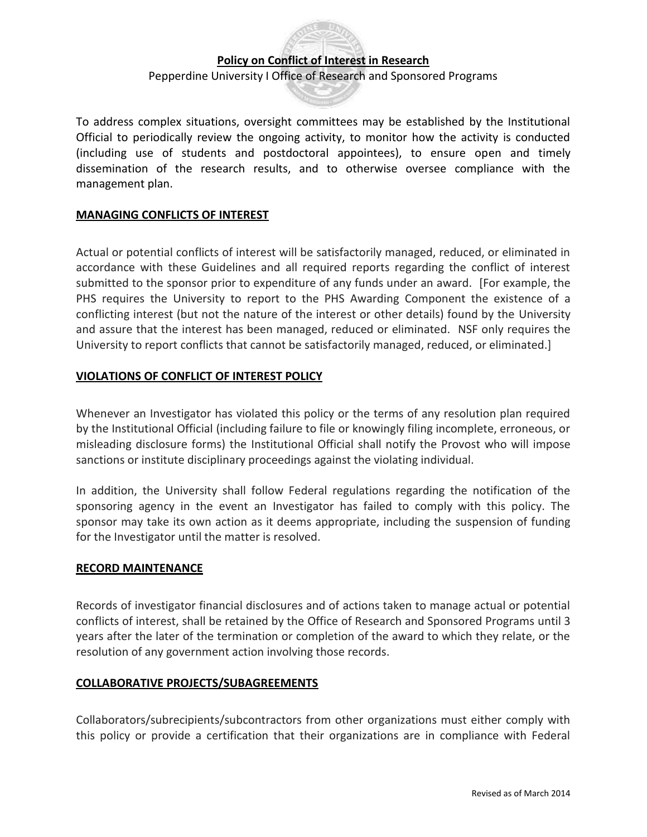Pepperdine University I Office of Research and Sponsored Programs

 To address complex situations, oversight committees may be established by the Institutional Official to periodically review the ongoing activity, to monitor how the activity is conducted (including use of students and postdoctoral appointees), to ensure open and timely dissemination of the research results, and to otherwise oversee compliance with the management plan.

### **MANAGING CONFLICTS OF INTEREST**

 Actual or potential conflicts of interest will be satisfactorily managed, reduced, or eliminated in accordance with these Guidelines and all required reports regarding the conflict of interest submitted to the sponsor prior to expenditure of any funds under an award. [For example, the PHS requires the University to report to the PHS Awarding Component the existence of a conflicting interest (but not the nature of the interest or other details) found by the University and assure that the interest has been managed, reduced or eliminated. NSF only requires the University to report conflicts that cannot be satisfactorily managed, reduced, or eliminated.]

### **VIOLATIONS OF CONFLICT OF INTEREST POLICY**

 Whenever an Investigator has violated this policy or the terms of any resolution plan required by the Institutional Official (including failure to file or knowingly filing incomplete, erroneous, or misleading disclosure forms) the Institutional Official shall notify the Provost who will impose sanctions or institute disciplinary proceedings against the violating individual.

 In addition, the University shall follow Federal regulations regarding the notification of the sponsoring agency in the event an Investigator has failed to comply with this policy. The sponsor may take its own action as it deems appropriate, including the suspension of funding for the Investigator until the matter is resolved.

#### **RECORD MAINTENANCE**

 Records of investigator financial disclosures and of actions taken to manage actual or potential conflicts of interest, shall be retained by the Office of Research and Sponsored Programs until 3 years after the later of the termination or completion of the award to which they relate, or the resolution of any government action involving those records.

#### **COLLABORATIVE PROJECTS/SUBAGREEMENTS**

 Collaborators/subrecipients/subcontractors from other organizations must either comply with this policy or provide a certification that their organizations are in compliance with Federal